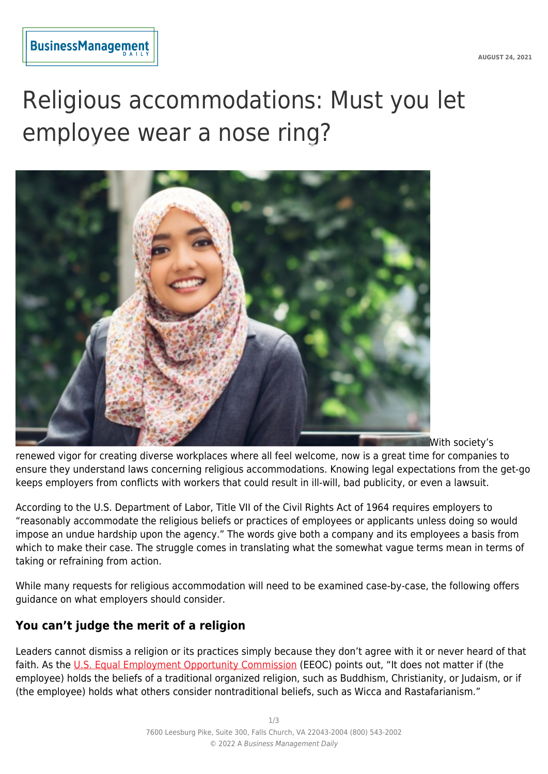# Religious accommodations: Must you let employee wear a nose ring?



With society's

renewed vigor for creating diverse workplaces where all feel welcome, now is a great time for companies to ensure they understand laws concerning religious accommodations. Knowing legal expectations from the get-go keeps employers from conflicts with workers that could result in ill-will, bad publicity, or even a lawsuit.

According to the U.S. Department of Labor, Title VII of the Civil Rights Act of 1964 requires employers to "reasonably accommodate the religious beliefs or practices of employees or applicants unless doing so would impose an undue hardship upon the agency." The words give both a company and its employees a basis from which to make their case. The struggle comes in translating what the somewhat vague terms mean in terms of taking or refraining from action.

While many requests for religious accommodation will need to be examined case-by-case, the following offers guidance on what employers should consider.

### **You can't judge the merit of a religion**

Leaders cannot dismiss a religion or its practices simply because they don't agree with it or never heard of that faith. As the [U.S. Equal Employment Opportunity Commission](https://www.eeoc.gov/youth/religious-discrimination) (EEOC) points out, "It does not matter if (the employee) holds the beliefs of a traditional organized religion, such as Buddhism, Christianity, or Judaism, or if (the employee) holds what others consider nontraditional beliefs, such as Wicca and Rastafarianism."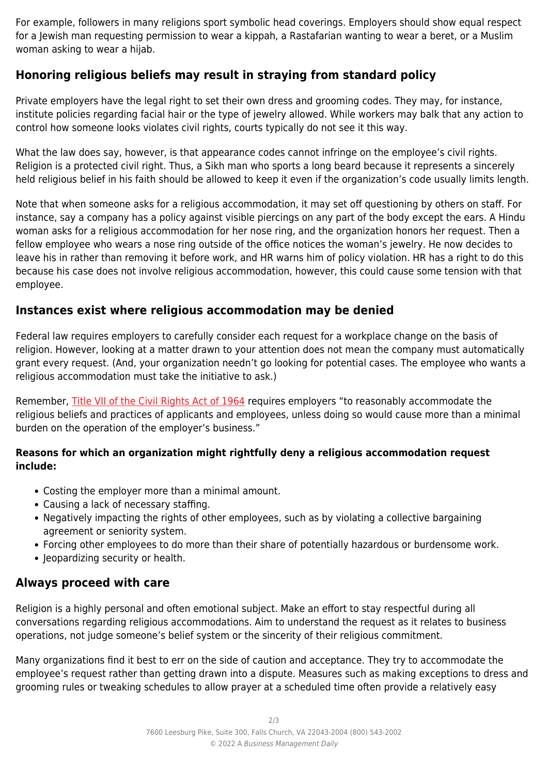For example, followers in many religions sport symbolic head coverings. Employers should show equal respect for a Jewish man requesting permission to wear a kippah, a Rastafarian wanting to wear a beret, or a Muslim woman asking to wear a hijab.

### **Honoring religious beliefs may result in straying from standard policy**

Private employers have the legal right to set their own dress and grooming codes. They may, for instance, institute policies regarding facial hair or the type of jewelry allowed. While workers may balk that any action to control how someone looks violates civil rights, courts typically do not see it this way.

What the law does say, however, is that appearance codes cannot infringe on the employee's civil rights. Religion is a protected civil right. Thus, a Sikh man who sports a long beard because it represents a sincerely held religious belief in his faith should be allowed to keep it even if the organization's code usually limits length.

Note that when someone asks for a religious accommodation, it may set off questioning by others on staff. For instance, say a company has a policy against visible piercings on any part of the body except the ears. A Hindu woman asks for a religious accommodation for her nose ring, and the organization honors her request. Then a fellow employee who wears a nose ring outside of the office notices the woman's jewelry. He now decides to leave his in rather than removing it before work, and HR warns him of policy violation. HR has a right to do this because his case does not involve religious accommodation, however, this could cause some tension with that employee.

#### **Instances exist where religious accommodation may be denied**

Federal law requires employers to carefully consider each request for a workplace change on the basis of religion. However, looking at a matter drawn to your attention does not mean the company must automatically grant every request. (And, your organization needn't go looking for potential cases. The employee who wants a religious accommodation must take the initiative to ask.)

Remember, [Title VII of the Civil Rights Act of 1964](https://www.dol.gov/agencies/oasam/civil-rights-center/internal/policies/religious-discrimination-accommodation) requires employers "to reasonably accommodate the religious beliefs and practices of applicants and employees, unless doing so would cause more than a minimal burden on the operation of the employer's business."

#### **Reasons for which an organization might rightfully deny a religious accommodation request include:**

- Costing the employer more than a minimal amount.
- Causing a lack of necessary staffing.
- Negatively impacting the rights of other employees, such as by violating a collective bargaining agreement or seniority system.
- Forcing other employees to do more than their share of potentially hazardous or burdensome work.
- Jeopardizing security or health.

## **Always proceed with care**

Religion is a highly personal and often emotional subject. Make an effort to stay respectful during all conversations regarding religious accommodations. Aim to understand the request as it relates to business operations, not judge someone's belief system or the sincerity of their religious commitment.

Many organizations find it best to err on the side of caution and acceptance. They try to accommodate the employee's request rather than getting drawn into a dispute. Measures such as making exceptions to dress and grooming rules or tweaking schedules to allow prayer at a scheduled time often provide a relatively easy